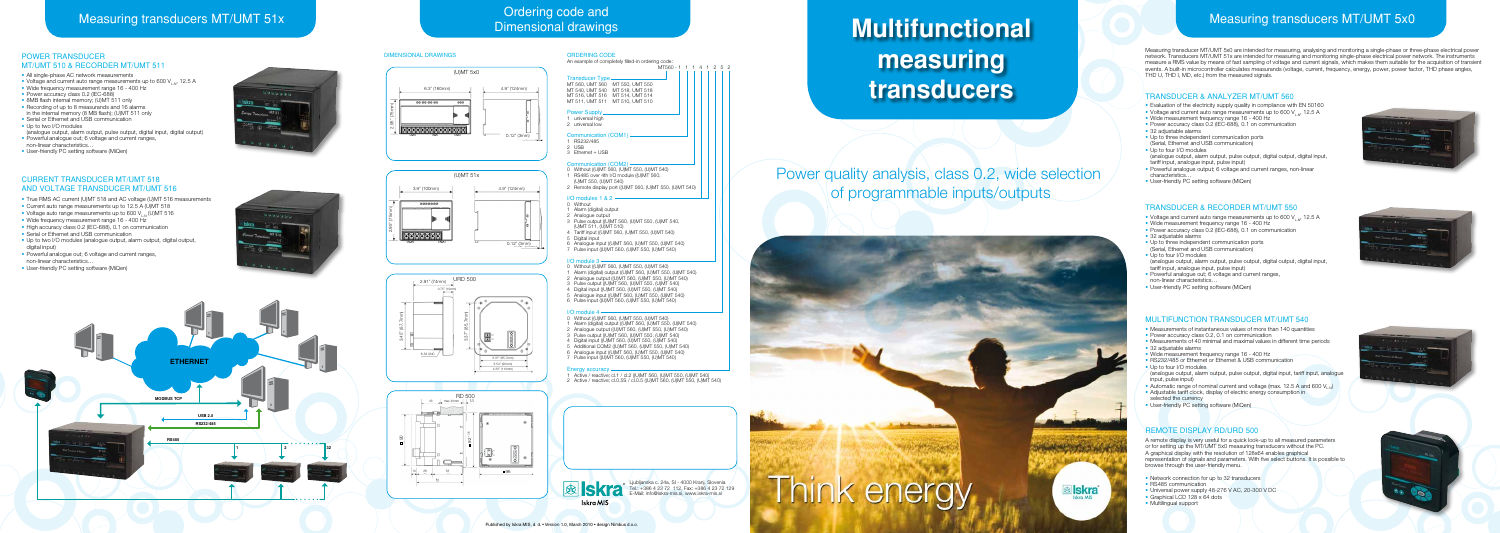Power quality analysis, class 0.2, wide selection of programmable inputs/outputs

# SKra Tel.: +386 4 23 72 112, Fax: +386 4 23 72 129<br>Iskro MIS BE-Mail: info@iskra-mis.si, www.iskra-mis.si

## Ordering code and<br>
Measuring transducers MT/UMT 51x Dimensional drawing code and

### TRANSDUCER & ANALYZER MT/UMT 560

- Evaluation of the electricity supply quality in compliance with EN 50160
- Voltage and current auto range measurements up to 600 V.  $\mu$ , 12.5 A
- Wide measurement frequency range 16 400 Hz
- Power accuracy class 0.2 (IEC-688), 0.1 on communication
- 32 adjustable alarms
- Up to three independent communication ports
- (Serial, Ethernet and USB communication)
- Up to four I/O modules (analogue output, alarm output, pulse output, digital output, digital input, tariff input, analogue input, pulse input)
- Powerful analogue output; 6 voltage and current ranges, non-linear characteristics…
- User-friendly PC setting software (MiQen)

- Voltage and current auto range measurements up to 600  $V_{L,N}$ , 12.5 A
- Wide measurement frequency range 16 400 Hz
- Power accuracy class 0.2 (IEC-688), 0.1 on communication
- 32 adiustable alarms
- Up to three independent communication ports (Serial, Ethernet and USB communication)
- Up to four I/O modules (analogue output, alarm output, pulse output, digital output, digital input, tariff input, analogue input, pulse input)
- Powerful analogue out; 6 voltage and current ranges, non-linear characteristics…
- User-friendly PC setting software (MiQen)

### TRANSDUCER & RECORDER MT/UMT 550

### MULTIFUNCTION TRANSDUCER MT/UMT 540

- All single-phase AC network measurements
- Voltage and current auto range measurements up to 600 V. n, 12.5 A
- Wide frequency measurement range 16 400 Hz
- Power accuracy class 0.2 (IEC-688)
- 8MB flash internal memory; (U)MT 511 only
- Recording of up to 8 measurands and 16 alarms in the internal memory (8 MB flash); (U)MT 511 only
- Serial or Ethernet and USB communication
- Up to two I/O modules
- (analogue output, alarm output, pulse output, digital input, digital output) • Powerful analogue out; 6 voltage and current ranges,
- non-linear characteristics… • User-friendly PC setting software (MiQen)



- Measurements of instantaneous values of more than 140 quantities
- Power accuracy class 0.2, 0.1 on communication
- Measurements of 40 minimal and maximal values in different time periods
- 32 adjustable alarms
- Wide measurement frequency range 16 400 Hz
- RS232/485 or Ethernet or Ethernet & USB communication
- Up to four I/O modules (analogue output, alarm output, pulse output, digital input, tariff input, analogue input, pulse input)
- Automatic range of nominal current and voltage (max. 12.5 A and 600 V<sub>LN</sub>)
- Adjustable tariff clock, display of electric energy consumption in selected the currency
- User-friendly PC setting software (MiQen)

### REMOTE DISPLAY RD/URD 500

A remote display is very useful for a quick look-up to all measured parameters or for setting up the MT/UMT 5x0 measuring transducers without the PC. A graphical display with the resolution of 128x64 enables graphical representation of signals and parameters. With five select buttons. It is possible to browse through the user-friendly menu.

- Network connection for up to 32 transducers
- RS485 communication
- Universal power supply 48-276 V AC, 20-300 V DC
- Graphical LCD 128 x 64 dots
- Multilingual support









- Alarm (digital) output
- 2 Analogue output 3 Pulse output ((U)MT 560, (U)MT 550, (U)MT 540,
- (U)MT 511, (U)MT 510)
- 
- 4 Tariff input ((U)MT 560, (U)MT 550, (U)MT 540) Digital input
- 6 Analogue input ((U)MT 560, (U)MT 550, (U)MT 540) 7 Pulse input ((U)MT 560, (U)MT 550, (U)MT 540)
- 

### $\Omega$  module 3

### POWER TRANSDUCEr MT/UMT 510 & RECORDER MT/UMT 511

### CURRENT TRANSDUCER MT/UMT 518 AND VOLTAGE TRANSDUCER MT/UMT 516

- True RMS AC current (U)MT 518 and AC voltage (U)MT 516 measurements
- Current auto range measurements up to 12.5 A (U)MT 518
- Voltage auto range measurements up to 600 V.  $\mu$  (U)MT 516
- Wide frequency measurement range 16 400 Hz
- High accuracy class 0.2 (IEC-688), 0.1 on communication
- Serial or Ethernet and USB communication
- Up to two I/O modules (analogue output, alarm output, digital output, digital input)
- Powerful analogue out; 6 voltage and current ranges, non-linear characteristics…
- User-friendly PC setting software (MiQen)



ORDERING CODE An example of completely filled-in ordering code: MT560 - 1 1 1 4 1 2 5 2 Transducer Type MT 560, UMT 560 MT 550, UMT 550 MT 540, UMT 540 MT 518, UMT 518 MT 516, UMT 516 MT 514, UMT 514 MT 511, UMT 511 MT 510, UMT 510 **Power Supply** 1 universal high 2 universal low Communication (COM1) 1 RS232/485 2 USB 3 Ethernet + USB Communication (COM2) 0 Without ((U)MT 560, (U)MT 550, (U)MT 540) RS485 over 4th I/O module ((U)NT 560, (U)MT 550, (U)MT 540) 2 Remote display port ((U)MT 560, (U)MT 550, (U)MT 540) I/O modules 1 & 2

Without

0 Without ((U)MT 560, (U)MT 550, (U)MT 540) 1 Alarm (digital) output ((U)MT 560, (U)MT 550, (U)MT 540) 2 Analogue output ((U)MT 560, (U)MT 550, (U)MT 540) 3 Pulse output ((U)MT 560, (U)MT 550, (U)MT 540) 4 Digital input ((U)MT 560, (U)MT 550, (U)MT 540) 5 Analogue input ((U)MT 560, (U)MT 550, (U)MT 540) 6 Pulse input ((U)MT 560, (U)MT 550, (U)MT 540)

### $I/\Omega$  module  $\Lambda$

0 Without ((U)MT 560, (U)MT 550, (U)MT 540) 1 Alarm (digital) output ((U)MT 560, (U)MT 550, (U)MT 540) 2 Analogue output ((U)MT 560, (U)MT 550, (U)MT 540) Pulse output ((U)MT 560, (U)MT 550, (U)MT 540) Digital input ((U)MT 560, (U)MT 550, (U)MT 540) 5 Additional COM2 ((U)MT 560, (U)MT 550, (U)MT 540) 6 Analogue input ((U)MT 560, (U)MT 550, (U)MT 540) 7 Pulse input ((U)MT 560, (U)MT 550, (U)MT 540)

### Energy accuracy.

Iskra MIS

1 Active / reactive; cl.1 / cl.2 ((U)MT 560, (U)MT 550, (U)MT 540) 2 Active / reactive; cl.0.5S / cl.0.5 ((U)MT 560, (U)MT 550, (U)MT 540)

### DIMENSIONAL DRAWINGS

Measuring transducer MT/UMT 5x0 are intended for measuring, analysing and monitoring a single-phase or three-phase electrical power network. Transducers MT/UMT 51x are intended for measuring and monitoring single-phase electrical power network. The instruments measure a RMS value by means of fast sampling of voltage and current signals, which makes them suitable for the acquisition of transient events. A built-in microcontroller calculates measurands (voltage, current, frequency, energy, power, power factor, THD phase angles, THD U, THD I, MD, etc.) from the measured signals.

## Dimensional drawings









Ljubljanska c. 24a, SI - 4000 Kranj, Slovenia Tel.: +386 4 23 72 112, Fax: +386 4 23 72 129 E-Mail: info@iskra-mis.si, www.iskra-mis.si



## **Multifunctional measuring transducers**